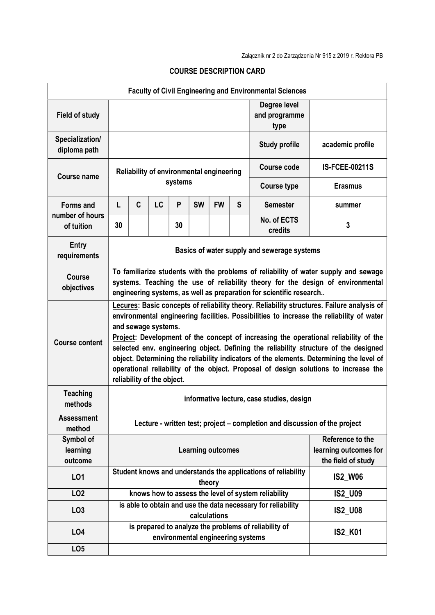|                                  |                                                                                                                                                                                                                                                                                                                                                                                                                                                                                                                                                                                                                |                                                                                                |    |         |                                   |           |                                       | <b>Faculty of Civil Engineering and Environmental Sciences</b>          |                                                                 |  |
|----------------------------------|----------------------------------------------------------------------------------------------------------------------------------------------------------------------------------------------------------------------------------------------------------------------------------------------------------------------------------------------------------------------------------------------------------------------------------------------------------------------------------------------------------------------------------------------------------------------------------------------------------------|------------------------------------------------------------------------------------------------|----|---------|-----------------------------------|-----------|---------------------------------------|-------------------------------------------------------------------------|-----------------------------------------------------------------|--|
| <b>Field of study</b>            |                                                                                                                                                                                                                                                                                                                                                                                                                                                                                                                                                                                                                |                                                                                                |    |         |                                   |           | Degree level<br>and programme<br>type |                                                                         |                                                                 |  |
| Specialization/<br>diploma path  |                                                                                                                                                                                                                                                                                                                                                                                                                                                                                                                                                                                                                |                                                                                                |    |         |                                   |           |                                       | <b>Study profile</b>                                                    | academic profile                                                |  |
| <b>Course name</b>               | Reliability of environmental engineering                                                                                                                                                                                                                                                                                                                                                                                                                                                                                                                                                                       |                                                                                                |    |         |                                   |           |                                       | <b>Course code</b>                                                      | <b>IS-FCEE-00211S</b>                                           |  |
|                                  |                                                                                                                                                                                                                                                                                                                                                                                                                                                                                                                                                                                                                |                                                                                                |    | systems |                                   |           |                                       | <b>Course type</b>                                                      | <b>Erasmus</b>                                                  |  |
| Forms and                        | L                                                                                                                                                                                                                                                                                                                                                                                                                                                                                                                                                                                                              | C                                                                                              | LC | P       | <b>SW</b>                         | <b>FW</b> | S                                     | <b>Semester</b>                                                         | summer                                                          |  |
| number of hours<br>of tuition    | 30                                                                                                                                                                                                                                                                                                                                                                                                                                                                                                                                                                                                             |                                                                                                |    | 30      |                                   |           |                                       | No. of ECTS<br>credits                                                  | 3                                                               |  |
| <b>Entry</b><br>requirements     | Basics of water supply and sewerage systems                                                                                                                                                                                                                                                                                                                                                                                                                                                                                                                                                                    |                                                                                                |    |         |                                   |           |                                       |                                                                         |                                                                 |  |
| Course<br>objectives             | To familiarize students with the problems of reliability of water supply and sewage<br>systems. Teaching the use of reliability theory for the design of environmental<br>engineering systems, as well as preparation for scientific research                                                                                                                                                                                                                                                                                                                                                                  |                                                                                                |    |         |                                   |           |                                       |                                                                         |                                                                 |  |
| <b>Course content</b>            | Lecures: Basic concepts of reliability theory. Reliability structures. Failure analysis of<br>environmental engineering facilities. Possibilities to increase the reliability of water<br>and sewage systems.<br>Project: Development of the concept of increasing the operational reliability of the<br>selected env. engineering object. Defining the reliability structure of the designed<br>object. Determining the reliability indicators of the elements. Determining the level of<br>operational reliability of the object. Proposal of design solutions to increase the<br>reliability of the object. |                                                                                                |    |         |                                   |           |                                       |                                                                         |                                                                 |  |
| <b>Teaching</b><br>methods       | informative lecture, case studies, design                                                                                                                                                                                                                                                                                                                                                                                                                                                                                                                                                                      |                                                                                                |    |         |                                   |           |                                       |                                                                         |                                                                 |  |
| <b>Assessment</b><br>method      | Lecture - written test; project – completion and discussion of the project                                                                                                                                                                                                                                                                                                                                                                                                                                                                                                                                     |                                                                                                |    |         |                                   |           |                                       |                                                                         |                                                                 |  |
| Symbol of<br>learning<br>outcome | <b>Learning outcomes</b>                                                                                                                                                                                                                                                                                                                                                                                                                                                                                                                                                                                       |                                                                                                |    |         |                                   |           |                                       |                                                                         | Reference to the<br>learning outcomes for<br>the field of study |  |
| LO1                              |                                                                                                                                                                                                                                                                                                                                                                                                                                                                                                                                                                                                                |                                                                                                |    |         |                                   | theory    |                                       | Student knows and understands the applications of reliability           | <b>IS2_W06</b>                                                  |  |
| LO <sub>2</sub>                  |                                                                                                                                                                                                                                                                                                                                                                                                                                                                                                                                                                                                                |                                                                                                |    |         |                                   |           |                                       | knows how to assess the level of system reliability                     | IS2_U09                                                         |  |
| LO <sub>3</sub>                  |                                                                                                                                                                                                                                                                                                                                                                                                                                                                                                                                                                                                                | is able to obtain and use the data necessary for reliability<br><b>IS2_U08</b><br>calculations |    |         |                                   |           |                                       |                                                                         |                                                                 |  |
| <b>LO4</b>                       |                                                                                                                                                                                                                                                                                                                                                                                                                                                                                                                                                                                                                |                                                                                                |    |         | environmental engineering systems |           |                                       | is prepared to analyze the problems of reliability of<br><b>IS2_K01</b> |                                                                 |  |
| LO <sub>5</sub>                  |                                                                                                                                                                                                                                                                                                                                                                                                                                                                                                                                                                                                                |                                                                                                |    |         |                                   |           |                                       |                                                                         |                                                                 |  |

## COURSE DESCRIPTION CARD